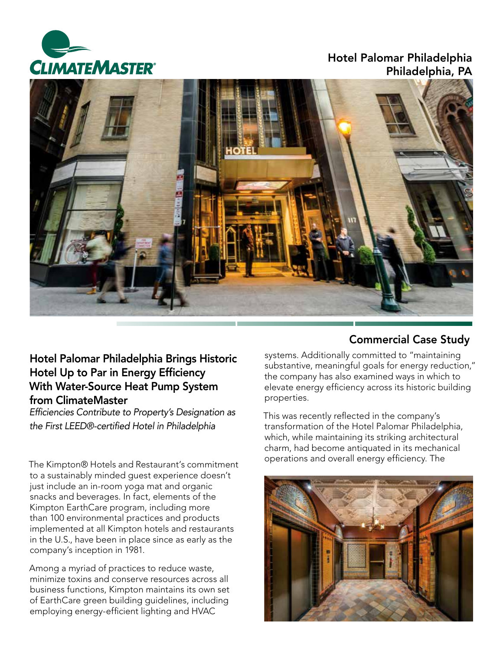

### Hotel Palomar Philadelphia Philadelphia, PA



# Hotel Palomar Philadelphia Brings Historic Hotel Up to Par in Energy Efficiency With Water-Source Heat Pump System from ClimateMaster

Efficiencies Contribute to Property's Designation as the First LEED®-certified Hotel in Philadelphia

The Kimpton® Hotels and Restaurant's commitment to a sustainably minded guest experience doesn't just include an in-room yoga mat and organic snacks and beverages. In fact, elements of the Kimpton EarthCare program, including more than 100 environmental practices and products implemented at all Kimpton hotels and restaurants in the U.S., have been in place since as early as the company's inception in 1981.

Among a myriad of practices to reduce waste, minimize toxins and conserve resources across all business functions, Kimpton maintains its own set of EarthCare green building guidelines, including employing energy-efficient lighting and HVAC

## Commercial Case Study

systems. Additionally committed to "maintaining substantive, meaningful goals for energy reduction," the company has also examined ways in which to elevate energy efficiency across its historic building properties.

This was recently reflected in the company's transformation of the Hotel Palomar Philadelphia, which, while maintaining its striking architectural charm, had become antiquated in its mechanical operations and overall energy efficiency. The

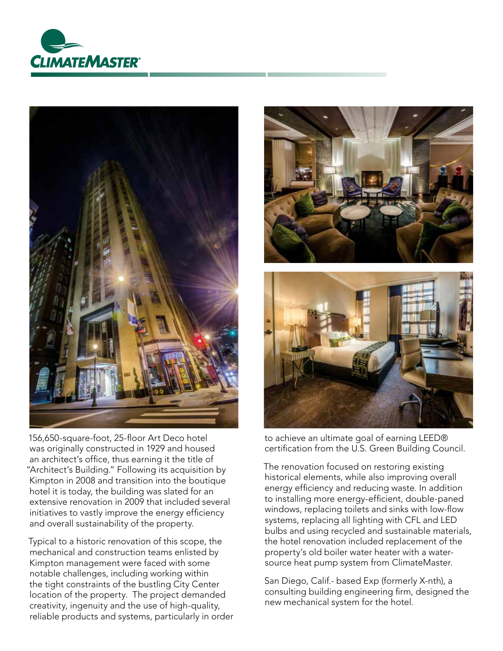



156,650-square-foot, 25-floor Art Deco hotel was originally constructed in 1929 and housed an architect's office, thus earning it the title of "Architect's Building." Following its acquisition by Kimpton in 2008 and transition into the boutique hotel it is today, the building was slated for an extensive renovation in 2009 that included several initiatives to vastly improve the energy efficiency and overall sustainability of the property.

Typical to a historic renovation of this scope, the mechanical and construction teams enlisted by Kimpton management were faced with some notable challenges, including working within the tight constraints of the bustling City Center location of the property. The project demanded creativity, ingenuity and the use of high-quality, reliable products and systems, particularly in order





to achieve an ultimate goal of earning LEED® certification from the U.S. Green Building Council.

The renovation focused on restoring existing historical elements, while also improving overall energy efficiency and reducing waste. In addition to installing more energy-efficient, double-paned windows, replacing toilets and sinks with low-flow systems, replacing all lighting with CFL and LED bulbs and using recycled and sustainable materials, the hotel renovation included replacement of the property's old boiler water heater with a watersource heat pump system from ClimateMaster.

San Diego, Calif.- based Exp (formerly X-nth), a consulting building engineering firm, designed the new mechanical system for the hotel.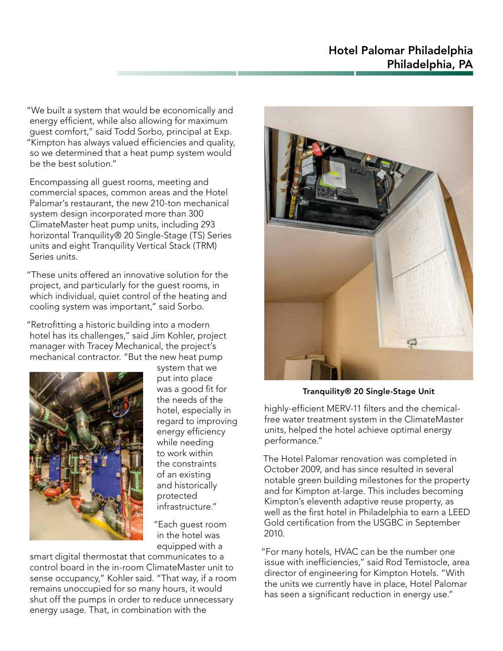"We built a system that would be economically and energy efficient, while also allowing for maximum guest comfort," said Todd Sorbo, principal at Exp. "Kimpton has always valued efficiencies and quality, so we determined that a heat pump system would be the best solution."

Encompassing all guest rooms, meeting and commercial spaces, common areas and the Hotel Palomar's restaurant, the new 210-ton mechanical system design incorporated more than 300 ClimateMaster heat pump units, including 293 horizontal Tranquility® 20 Single-Stage (TS) Series units and eight Tranquility Vertical Stack (TRM) Series units.

"These units offered an innovative solution for the project, and particularly for the guest rooms, in which individual, quiet control of the heating and cooling system was important," said Sorbo.

"Retrofitting a historic building into a modern hotel has its challenges," said Jim Kohler, project manager with Tracey Mechanical, the project's mechanical contractor. "But the new heat pump



system that we put into place was a good fit for the needs of the hotel, especially in regard to improving energy efficiency while needing to work within the constraints of an existing and historically protected infrastructure."

"Each guest room in the hotel was equipped with a

smart digital thermostat that communicates to a control board in the in-room ClimateMaster unit to sense occupancy," Kohler said. "That way, if a room remains unoccupied for so many hours, it would shut off the pumps in order to reduce unnecessary energy usage. That, in combination with the



Tranquility® 20 Single-Stage Unit

highly-efficient MERV-11 filters and the chemicalfree water treatment system in the ClimateMaster units, helped the hotel achieve optimal energy performance."

The Hotel Palomar renovation was completed in October 2009, and has since resulted in several notable green building milestones for the property and for Kimpton at-large. This includes becoming Kimpton's eleventh adaptive reuse property, as well as the first hotel in Philadelphia to earn a LEED Gold certification from the USGBC in September 2010.

"For many hotels, HVAC can be the number one issue with inefficiencies," said Rod Temistocle, area director of engineering for Kimpton Hotels. "With the units we currently have in place, Hotel Palomar has seen a significant reduction in energy use."